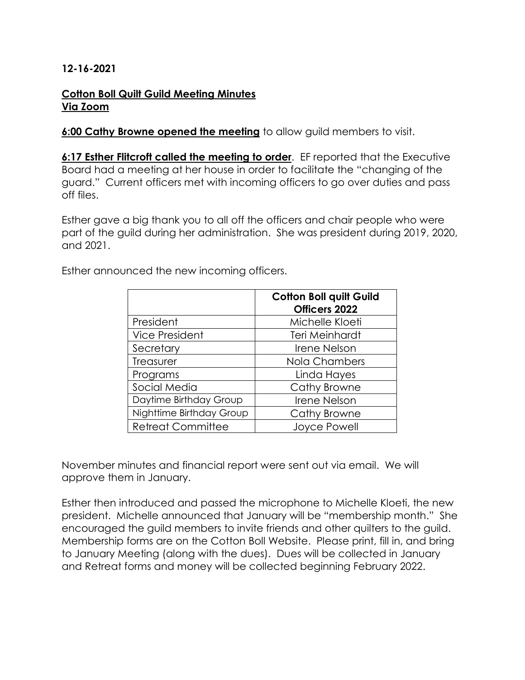## **12-16-2021**

## **Cotton Boll Quilt Guild Meeting Minutes Via Zoom**

**6:00 Cathy Browne opened the meeting** to allow guild members to visit.

**6:17 Esther Flitcroft called the meeting to order**. EF reported that the Executive Board had a meeting at her house in order to facilitate the "changing of the guard." Current officers met with incoming officers to go over duties and pass off files.

Esther gave a big thank you to all off the officers and chair people who were part of the guild during her administration. She was president during 2019, 2020, and 2021.

|                          | <b>Cotton Boll quilt Guild</b><br>Officers 2022 |
|--------------------------|-------------------------------------------------|
| President                | Michelle Kloeti                                 |
| <b>Vice President</b>    | Teri Meinhardt                                  |
| Secretary                | Irene Nelson                                    |
| Treasurer                | Nola Chambers                                   |
| Programs                 | Linda Hayes                                     |
| Social Media             | Cathy Browne                                    |
| Daytime Birthday Group   | Irene Nelson                                    |
| Nighttime Birthday Group | Cathy Browne                                    |
| <b>Retreat Committee</b> | Joyce Powell                                    |

Esther announced the new incoming officers.

November minutes and financial report were sent out via email. We will approve them in January.

Esther then introduced and passed the microphone to Michelle Kloeti, the new president. Michelle announced that January will be "membership month." She encouraged the guild members to invite friends and other quilters to the guild. Membership forms are on the Cotton Boll Website. Please print, fill in, and bring to January Meeting (along with the dues). Dues will be collected in January and Retreat forms and money will be collected beginning February 2022.